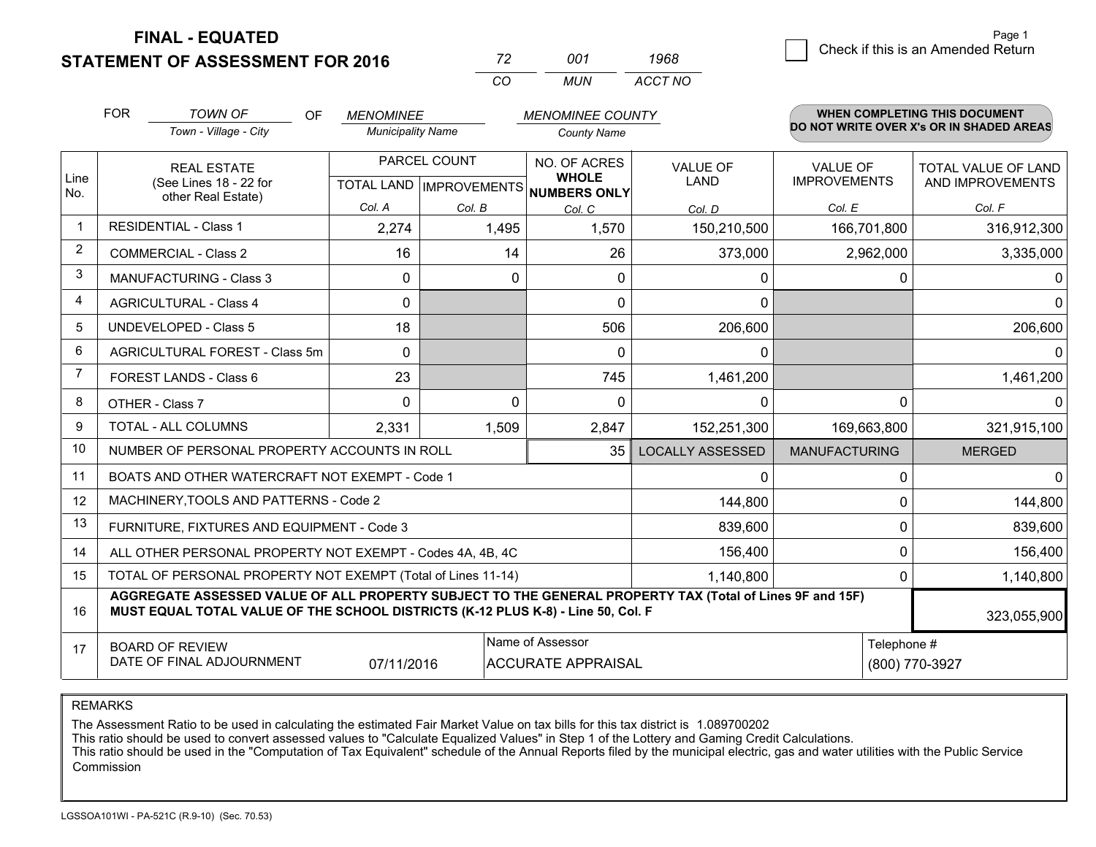**FINAL - EQUATED**

**STATEMENT OF ASSESSMENT FOR 2016** 

| 72  | 001   | 1968    |  |
|-----|-------|---------|--|
| CO. | MI IN | ACCT NO |  |

|                | <b>FOR</b>                                                                                                                                                                                   | <b>TOWN OF</b><br>OF                           | <b>MENOMINEE</b>                                     |          | <b>MENOMINEE COUNTY</b>      |                                |                                        | <b>WHEN COMPLETING THIS DOCUMENT</b>     |
|----------------|----------------------------------------------------------------------------------------------------------------------------------------------------------------------------------------------|------------------------------------------------|------------------------------------------------------|----------|------------------------------|--------------------------------|----------------------------------------|------------------------------------------|
|                |                                                                                                                                                                                              | Town - Village - City                          | <b>Municipality Name</b>                             |          | <b>County Name</b>           |                                |                                        | DO NOT WRITE OVER X's OR IN SHADED AREAS |
| Line<br>No.    | <b>REAL ESTATE</b><br>(See Lines 18 - 22 for                                                                                                                                                 |                                                | PARCEL COUNT<br>TOTAL LAND IMPROVEMENTS NUMBERS ONLY |          | NO. OF ACRES<br><b>WHOLE</b> | <b>VALUE OF</b><br><b>LAND</b> | <b>VALUE OF</b><br><b>IMPROVEMENTS</b> | TOTAL VALUE OF LAND<br>AND IMPROVEMENTS  |
|                |                                                                                                                                                                                              | other Real Estate)                             | Col. A                                               | Col. B   | Col. C                       | Col. D                         | Col. E                                 | Col. F                                   |
| $\overline{1}$ |                                                                                                                                                                                              | <b>RESIDENTIAL - Class 1</b>                   | 2,274                                                | 1,495    | 1,570                        | 150,210,500                    | 166,701,800                            | 316,912,300                              |
| $\overline{2}$ |                                                                                                                                                                                              | <b>COMMERCIAL - Class 2</b>                    | 16                                                   | 14       | 26                           | 373,000                        | 2,962,000                              | 3,335,000                                |
| 3              |                                                                                                                                                                                              | <b>MANUFACTURING - Class 3</b>                 | $\Omega$                                             | 0        | $\Omega$                     | 0                              | 0                                      | 0                                        |
| $\overline{4}$ |                                                                                                                                                                                              | <b>AGRICULTURAL - Class 4</b>                  | $\Omega$                                             |          | $\Omega$                     | $\mathbf{0}$                   |                                        | 0                                        |
| 5              |                                                                                                                                                                                              | <b>UNDEVELOPED - Class 5</b>                   | 18                                                   |          | 506                          | 206,600                        |                                        | 206,600                                  |
| 6              |                                                                                                                                                                                              | AGRICULTURAL FOREST - Class 5m                 | $\Omega$                                             |          | $\mathbf 0$                  | 0                              |                                        | 0                                        |
| $\overline{7}$ | <b>FOREST LANDS - Class 6</b>                                                                                                                                                                |                                                | 23                                                   |          | 745                          | 1,461,200                      |                                        | 1,461,200                                |
| 8              | OTHER - Class 7                                                                                                                                                                              |                                                | $\Omega$                                             | $\Omega$ | $\Omega$                     | $\Omega$                       | $\Omega$                               | 0                                        |
| 9              | TOTAL - ALL COLUMNS                                                                                                                                                                          |                                                | 2,331<br>1,509                                       |          | 2,847                        | 152,251,300                    | 169,663,800                            | 321,915,100                              |
| 10             |                                                                                                                                                                                              | NUMBER OF PERSONAL PROPERTY ACCOUNTS IN ROLL   |                                                      |          | <b>LOCALLY ASSESSED</b>      | <b>MANUFACTURING</b>           | <b>MERGED</b>                          |                                          |
| 11             |                                                                                                                                                                                              | BOATS AND OTHER WATERCRAFT NOT EXEMPT - Code 1 |                                                      | 0        | 0                            | $\Omega$                       |                                        |                                          |
| 12             |                                                                                                                                                                                              | MACHINERY, TOOLS AND PATTERNS - Code 2         |                                                      |          |                              | 144,800                        | 0                                      | 144,800                                  |
| 13             |                                                                                                                                                                                              | FURNITURE, FIXTURES AND EQUIPMENT - Code 3     |                                                      |          | 839,600                      | $\mathbf 0$                    | 839,600                                |                                          |
| 14             | 156,400<br>ALL OTHER PERSONAL PROPERTY NOT EXEMPT - Codes 4A, 4B, 4C                                                                                                                         |                                                |                                                      |          |                              |                                |                                        | $\Omega$<br>156,400                      |
| 15             | TOTAL OF PERSONAL PROPERTY NOT EXEMPT (Total of Lines 11-14)<br>1,140,800                                                                                                                    |                                                |                                                      |          |                              |                                |                                        | 1,140,800                                |
| 16             | AGGREGATE ASSESSED VALUE OF ALL PROPERTY SUBJECT TO THE GENERAL PROPERTY TAX (Total of Lines 9F and 15F)<br>MUST EQUAL TOTAL VALUE OF THE SCHOOL DISTRICTS (K-12 PLUS K-8) - Line 50, Col. F |                                                |                                                      |          |                              |                                |                                        | 323,055,900                              |
| 17             | Name of Assessor<br>Telephone #<br><b>BOARD OF REVIEW</b><br>DATE OF FINAL ADJOURNMENT<br>07/11/2016<br><b>ACCURATE APPRAISAL</b>                                                            |                                                |                                                      |          |                              | (800) 770-3927                 |                                        |                                          |

REMARKS

The Assessment Ratio to be used in calculating the estimated Fair Market Value on tax bills for this tax district is 1.089700202

This ratio should be used to convert assessed values to "Calculate Equalized Values" in Step 1 of the Lottery and Gaming Credit Calculations.<br>This ratio should be used in the "Computation of Tax Equivalent" schedule of the Commission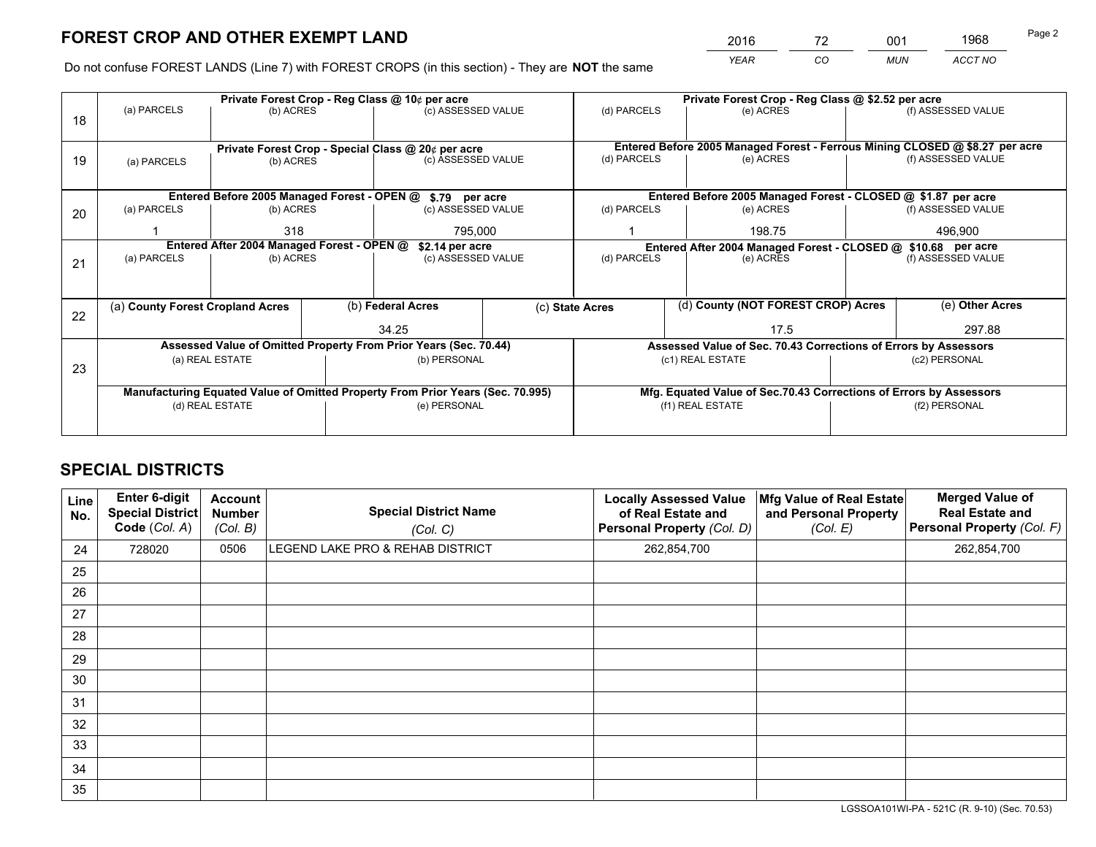# **FOREST CROP AND OTHER EXEMPT LAND**

 *YEAR CO MUN ACCT NO* <sup>2016</sup> <sup>72</sup> <sup>001</sup> <sup>1968</sup>

Do not confuse FOREST LANDS (Line 7) with FOREST CROPS (in this section) - They are **NOT** the same

|    | Private Forest Crop - Reg Class @ 10¢ per acre                                 |                                             |  |                                                    |                                                                 | Private Forest Crop - Reg Class @ \$2.52 per acre                  |  |                                                               |               |                                                                              |
|----|--------------------------------------------------------------------------------|---------------------------------------------|--|----------------------------------------------------|-----------------------------------------------------------------|--------------------------------------------------------------------|--|---------------------------------------------------------------|---------------|------------------------------------------------------------------------------|
| 18 | (a) PARCELS<br>(b) ACRES                                                       |                                             |  | (c) ASSESSED VALUE                                 |                                                                 | (d) PARCELS                                                        |  | (e) ACRES                                                     |               | (f) ASSESSED VALUE                                                           |
|    |                                                                                |                                             |  |                                                    |                                                                 |                                                                    |  |                                                               |               |                                                                              |
|    |                                                                                |                                             |  | Private Forest Crop - Special Class @ 20¢ per acre |                                                                 |                                                                    |  |                                                               |               | Entered Before 2005 Managed Forest - Ferrous Mining CLOSED @ \$8.27 per acre |
| 19 | (a) PARCELS                                                                    | (b) ACRES                                   |  | (c) ASSESSED VALUE                                 |                                                                 | (d) PARCELS                                                        |  | (e) ACRES                                                     |               | (f) ASSESSED VALUE                                                           |
|    |                                                                                |                                             |  |                                                    |                                                                 |                                                                    |  |                                                               |               |                                                                              |
|    |                                                                                | Entered Before 2005 Managed Forest - OPEN @ |  | \$.79 per acre                                     |                                                                 |                                                                    |  | Entered Before 2005 Managed Forest - CLOSED @ \$1.87 per acre |               |                                                                              |
| 20 | (a) PARCELS                                                                    | (b) ACRES                                   |  | (c) ASSESSED VALUE                                 |                                                                 | (d) PARCELS                                                        |  | (e) ACRES                                                     |               | (f) ASSESSED VALUE                                                           |
|    |                                                                                | 318                                         |  | 795,000                                            |                                                                 | 198.75                                                             |  |                                                               | 496,900       |                                                                              |
|    | Entered After 2004 Managed Forest - OPEN @<br>\$2.14 per acre                  |                                             |  |                                                    |                                                                 | Entered After 2004 Managed Forest - CLOSED @ \$10.68 per acre      |  |                                                               |               |                                                                              |
| 21 | (a) PARCELS                                                                    | (b) ACRES                                   |  | (c) ASSESSED VALUE                                 |                                                                 | (d) PARCELS                                                        |  | (e) ACRES                                                     |               | (f) ASSESSED VALUE                                                           |
|    |                                                                                |                                             |  |                                                    |                                                                 |                                                                    |  |                                                               |               |                                                                              |
|    |                                                                                |                                             |  |                                                    |                                                                 |                                                                    |  |                                                               |               |                                                                              |
| 22 | (a) County Forest Cropland Acres                                               |                                             |  | (b) Federal Acres                                  |                                                                 | (c) State Acres                                                    |  | (d) County (NOT FOREST CROP) Acres                            |               | (e) Other Acres                                                              |
|    |                                                                                |                                             |  | 34.25                                              |                                                                 |                                                                    |  | 17.5                                                          |               | 297.88                                                                       |
|    | Assessed Value of Omitted Property From Prior Years (Sec. 70.44)               |                                             |  |                                                    | Assessed Value of Sec. 70.43 Corrections of Errors by Assessors |                                                                    |  |                                                               |               |                                                                              |
| 23 | (a) REAL ESTATE                                                                |                                             |  | (b) PERSONAL                                       |                                                                 | (c1) REAL ESTATE                                                   |  |                                                               | (c2) PERSONAL |                                                                              |
|    |                                                                                |                                             |  |                                                    |                                                                 |                                                                    |  |                                                               |               |                                                                              |
|    | Manufacturing Equated Value of Omitted Property From Prior Years (Sec. 70.995) |                                             |  |                                                    |                                                                 | Mfg. Equated Value of Sec.70.43 Corrections of Errors by Assessors |  |                                                               |               |                                                                              |
|    | (d) REAL ESTATE                                                                |                                             |  | (e) PERSONAL                                       |                                                                 | (f1) REAL ESTATE                                                   |  | (f2) PERSONAL                                                 |               |                                                                              |
|    |                                                                                |                                             |  |                                                    |                                                                 |                                                                    |  |                                                               |               |                                                                              |

## **SPECIAL DISTRICTS**

| Line<br>No. | Enter 6-digit<br>Special District<br>Code (Col. A) | <b>Account</b><br><b>Number</b><br>(Col. B) | <b>Special District Name</b><br>(Col. C) | <b>Locally Assessed Value</b><br>of Real Estate and<br>Personal Property (Col. D) | Mfg Value of Real Estate<br>and Personal Property<br>(Col. E) | <b>Merged Value of</b><br><b>Real Estate and</b><br>Personal Property (Col. F) |
|-------------|----------------------------------------------------|---------------------------------------------|------------------------------------------|-----------------------------------------------------------------------------------|---------------------------------------------------------------|--------------------------------------------------------------------------------|
| 24          | 728020                                             | 0506                                        | LEGEND LAKE PRO & REHAB DISTRICT         | 262,854,700                                                                       |                                                               | 262,854,700                                                                    |
| 25          |                                                    |                                             |                                          |                                                                                   |                                                               |                                                                                |
| 26          |                                                    |                                             |                                          |                                                                                   |                                                               |                                                                                |
| 27          |                                                    |                                             |                                          |                                                                                   |                                                               |                                                                                |
| 28          |                                                    |                                             |                                          |                                                                                   |                                                               |                                                                                |
| 29          |                                                    |                                             |                                          |                                                                                   |                                                               |                                                                                |
| 30          |                                                    |                                             |                                          |                                                                                   |                                                               |                                                                                |
| 31          |                                                    |                                             |                                          |                                                                                   |                                                               |                                                                                |
| 32          |                                                    |                                             |                                          |                                                                                   |                                                               |                                                                                |
| 33          |                                                    |                                             |                                          |                                                                                   |                                                               |                                                                                |
| 34          |                                                    |                                             |                                          |                                                                                   |                                                               |                                                                                |
| 35          |                                                    |                                             |                                          |                                                                                   |                                                               |                                                                                |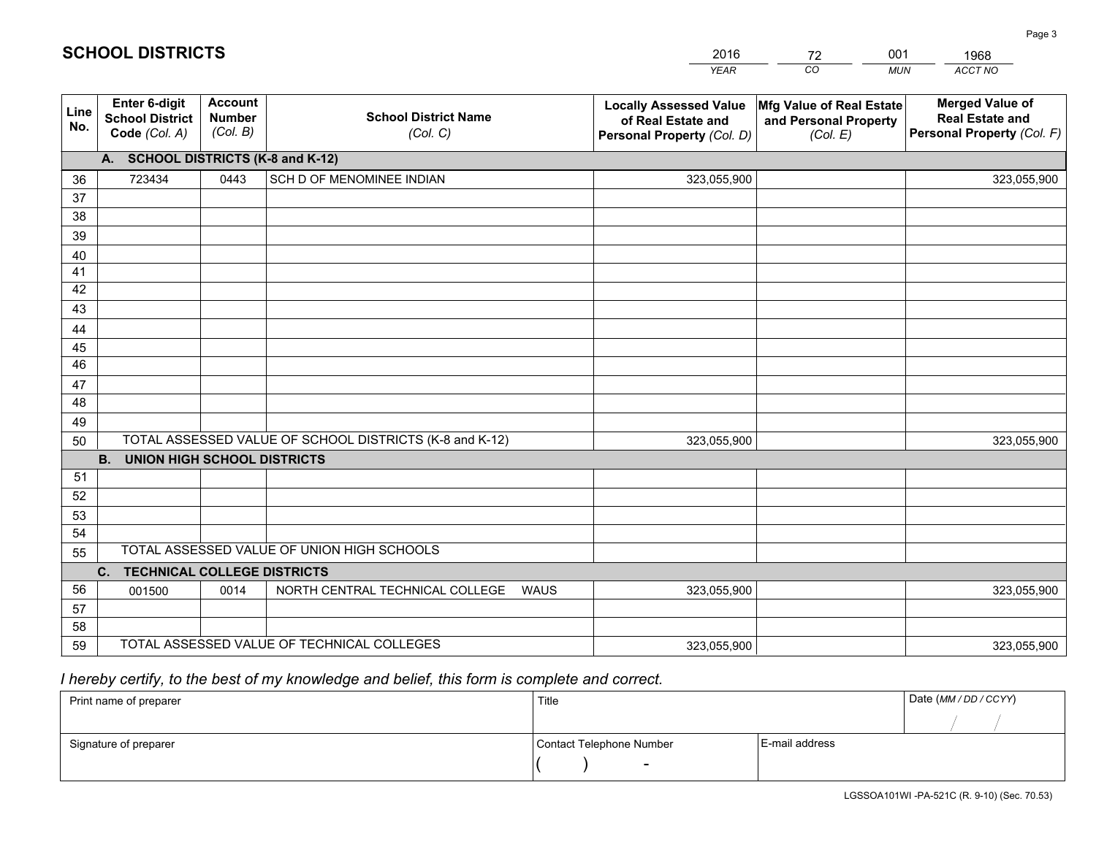|             |                                                          |                                             |                                                         | <b>YEAR</b>                                                                       | CO<br><b>MUN</b>                                              | ACCT NO                                                                        |
|-------------|----------------------------------------------------------|---------------------------------------------|---------------------------------------------------------|-----------------------------------------------------------------------------------|---------------------------------------------------------------|--------------------------------------------------------------------------------|
| Line<br>No. | Enter 6-digit<br><b>School District</b><br>Code (Col. A) | <b>Account</b><br><b>Number</b><br>(Col. B) | <b>School District Name</b><br>(Col. C)                 | <b>Locally Assessed Value</b><br>of Real Estate and<br>Personal Property (Col. D) | Mfg Value of Real Estate<br>and Personal Property<br>(Col. E) | <b>Merged Value of</b><br><b>Real Estate and</b><br>Personal Property (Col. F) |
|             | A. SCHOOL DISTRICTS (K-8 and K-12)                       |                                             |                                                         |                                                                                   |                                                               |                                                                                |
| 36          | 723434                                                   | 0443                                        | SCH D OF MENOMINEE INDIAN                               | 323,055,900                                                                       |                                                               | 323,055,900                                                                    |
| 37          |                                                          |                                             |                                                         |                                                                                   |                                                               |                                                                                |
| 38          |                                                          |                                             |                                                         |                                                                                   |                                                               |                                                                                |
| 39          |                                                          |                                             |                                                         |                                                                                   |                                                               |                                                                                |
| 40          |                                                          |                                             |                                                         |                                                                                   |                                                               |                                                                                |
| 41          |                                                          |                                             |                                                         |                                                                                   |                                                               |                                                                                |
| 42          |                                                          |                                             |                                                         |                                                                                   |                                                               |                                                                                |
| 43          |                                                          |                                             |                                                         |                                                                                   |                                                               |                                                                                |
| 44          |                                                          |                                             |                                                         |                                                                                   |                                                               |                                                                                |
| 45<br>46    |                                                          |                                             |                                                         |                                                                                   |                                                               |                                                                                |
|             |                                                          |                                             |                                                         |                                                                                   |                                                               |                                                                                |
| 47<br>48    |                                                          |                                             |                                                         |                                                                                   |                                                               |                                                                                |
| 49          |                                                          |                                             |                                                         |                                                                                   |                                                               |                                                                                |
| 50          |                                                          |                                             | TOTAL ASSESSED VALUE OF SCHOOL DISTRICTS (K-8 and K-12) | 323,055,900                                                                       |                                                               | 323,055,900                                                                    |
|             | <b>B.</b><br><b>UNION HIGH SCHOOL DISTRICTS</b>          |                                             |                                                         |                                                                                   |                                                               |                                                                                |
| 51          |                                                          |                                             |                                                         |                                                                                   |                                                               |                                                                                |
| 52          |                                                          |                                             |                                                         |                                                                                   |                                                               |                                                                                |
| 53          |                                                          |                                             |                                                         |                                                                                   |                                                               |                                                                                |
| 54          |                                                          |                                             |                                                         |                                                                                   |                                                               |                                                                                |
| 55          |                                                          |                                             | TOTAL ASSESSED VALUE OF UNION HIGH SCHOOLS              |                                                                                   |                                                               |                                                                                |
|             | C. TECHNICAL COLLEGE DISTRICTS                           |                                             |                                                         |                                                                                   |                                                               |                                                                                |
| 56          | 001500                                                   | 0014                                        | NORTH CENTRAL TECHNICAL COLLEGE<br><b>WAUS</b>          | 323,055,900                                                                       |                                                               | 323,055,900                                                                    |
| 57          |                                                          |                                             |                                                         |                                                                                   |                                                               |                                                                                |
| 58          |                                                          |                                             |                                                         |                                                                                   |                                                               |                                                                                |
| 59          |                                                          |                                             | TOTAL ASSESSED VALUE OF TECHNICAL COLLEGES              | 323,055,900                                                                       |                                                               | 323,055,900                                                                    |

2016

72

001

## *I hereby certify, to the best of my knowledge and belief, this form is complete and correct.*

**SCHOOL DISTRICTS**

| Print name of preparer | Title                    |                | Date (MM / DD / CCYY) |
|------------------------|--------------------------|----------------|-----------------------|
|                        |                          |                |                       |
| Signature of preparer  | Contact Telephone Number | E-mail address |                       |
|                        | $\overline{\phantom{0}}$ |                |                       |

1968